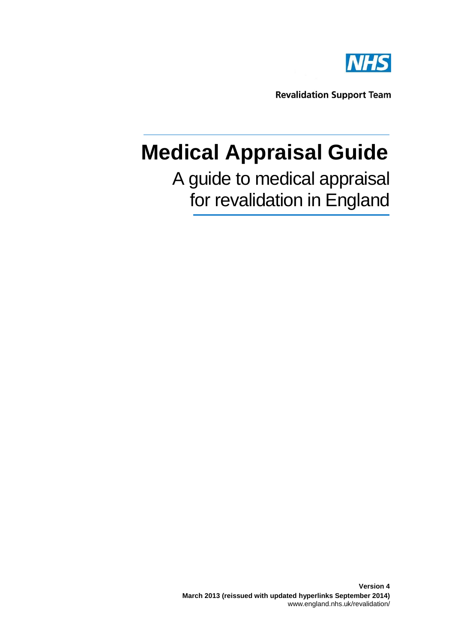

# **Medical Appraisal Guide**

## A guide to medical appraisal for revalidation in England

**Version 4 March 2013 (reissued with updated hyperlinks September 2014)** www.england.nhs.uk/revalidation/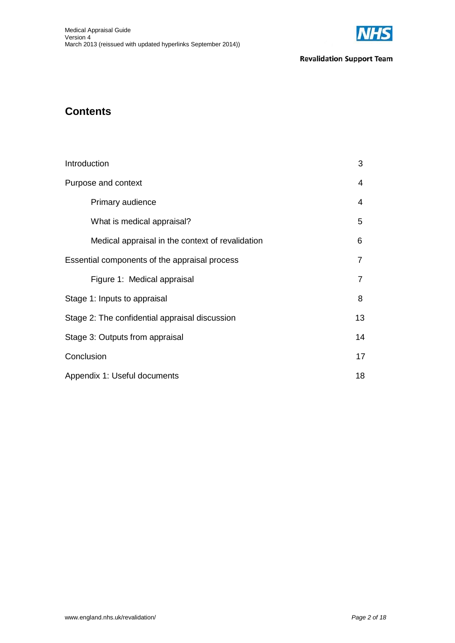

## **Contents**

| Introduction                                     | 3  |
|--------------------------------------------------|----|
| Purpose and context                              | 4  |
| Primary audience                                 | 4  |
| What is medical appraisal?                       | 5  |
| Medical appraisal in the context of revalidation | 6  |
| Essential components of the appraisal process    | 7  |
| Figure 1: Medical appraisal                      | 7  |
| Stage 1: Inputs to appraisal                     | 8  |
| Stage 2: The confidential appraisal discussion   | 13 |
| Stage 3: Outputs from appraisal                  | 14 |
| Conclusion                                       | 17 |
| Appendix 1: Useful documents                     | 18 |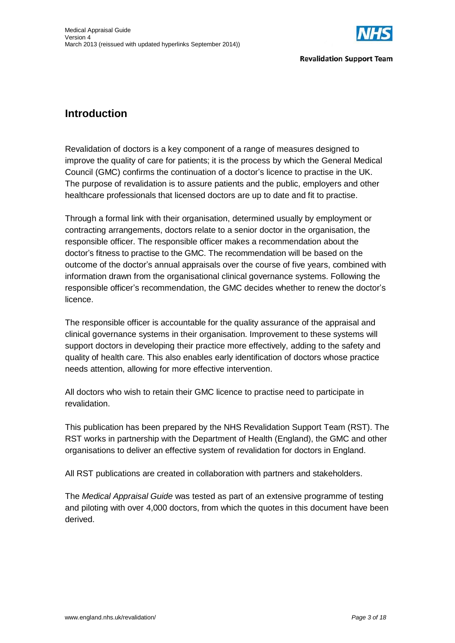

## **Introduction**

Revalidation of doctors is a key component of a range of measures designed to improve the quality of care for patients; it is the process by which the General Medical Council (GMC) confirms the continuation of a doctor's licence to practise in the UK. The purpose of revalidation is to assure patients and the public, employers and other healthcare professionals that licensed doctors are up to date and fit to practise.

Through a formal link with their organisation, determined usually by employment or contracting arrangements, doctors relate to a senior doctor in the organisation, the responsible officer. The responsible officer makes a recommendation about the doctor's fitness to practise to the GMC. The recommendation will be based on the outcome of the doctor's annual appraisals over the course of five years, combined with information drawn from the organisational clinical governance systems. Following the responsible officer's recommendation, the GMC decides whether to renew the doctor's licence.

The responsible officer is accountable for the quality assurance of the appraisal and clinical governance systems in their organisation. Improvement to these systems will support doctors in developing their practice more effectively, adding to the safety and quality of health care. This also enables early identification of doctors whose practice needs attention, allowing for more effective intervention.

All doctors who wish to retain their GMC licence to practise need to participate in revalidation.

This publication has been prepared by the NHS Revalidation Support Team (RST). The RST works in partnership with the Department of Health (England), the GMC and other organisations to deliver an effective system of revalidation for doctors in England.

All RST publications are created in collaboration with partners and stakeholders.

The *Medical Appraisal Guide* was tested as part of an extensive programme of testing and piloting with over 4,000 doctors, from which the quotes in this document have been derived.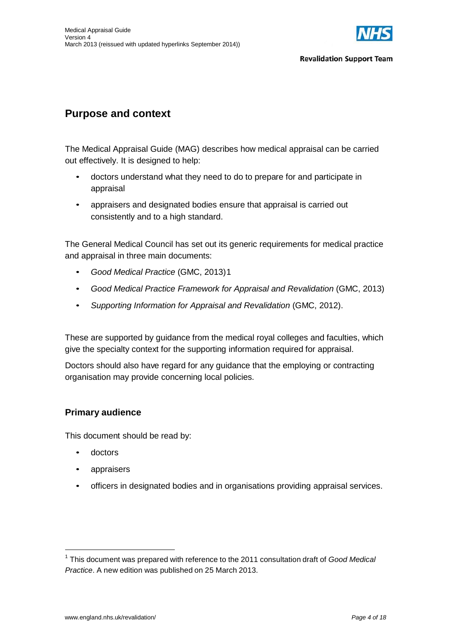

## **Purpose and context**

The Medical Appraisal Guide (MAG) describes how medical appraisal can be carried out effectively. It is designed to help:

- doctors understand what they need to do to prepare for and participate in appraisal
- appraisers and designated bodies ensure that appraisal is carried out consistently and to a high standard.

The General Medical Council has set out its generic requirements for medical practice and appraisal in three main documents:

- *Good Medical Practice* (GMC, 2013)1
- *Good Medical Practice Framework for Appraisal and Revalidation* (GMC, 2013)
- *Supporting Information for Appraisal and Revalidation* (GMC, 2012).

These are supported by guidance from the medical royal colleges and faculties, which give the specialty context for the supporting information required for appraisal.

Doctors should also have regard for any guidance that the employing or contracting organisation may provide concerning local policies.

#### **Primary audience**

This document should be read by:

- doctors
- appraisers
- officers in designated bodies and in organisations providing appraisal services.

<sup>1</sup> This document was prepared with reference to the 2011 consultation draft of *Good Medical Practice*. A new edition was published on 25 March 2013.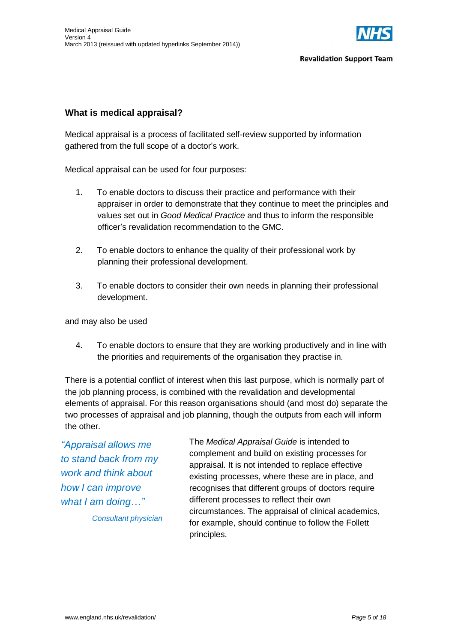

#### **What is medical appraisal?**

Medical appraisal is a process of facilitated self-review supported by information gathered from the full scope of a doctor's work.

Medical appraisal can be used for four purposes:

- 1. To enable doctors to discuss their practice and performance with their appraiser in order to demonstrate that they continue to meet the principles and values set out in *Good Medical Practice* and thus to inform the responsible officer's revalidation recommendation to the GMC.
- 2. To enable doctors to enhance the quality of their professional work by planning their professional development.
- 3. To enable doctors to consider their own needs in planning their professional development.

and may also be used

4. To enable doctors to ensure that they are working productively and in line with the priorities and requirements of the organisation they practise in.

There is a potential conflict of interest when this last purpose, which is normally part of the job planning process, is combined with the revalidation and developmental elements of appraisal. For this reason organisations should (and most do) separate the two processes of appraisal and job planning, though the outputs from each will inform the other.

*"Appraisal allows me to stand back from my work and think about how I can improve what I am doing…"*

*Consultant physician*

The *Medical Appraisal Guide* is intended to complement and build on existing processes for appraisal. It is not intended to replace effective existing processes, where these are in place, and recognises that different groups of doctors require different processes to reflect their own circumstances. The appraisal of clinical academics, for example, should continue to follow the Follett principles.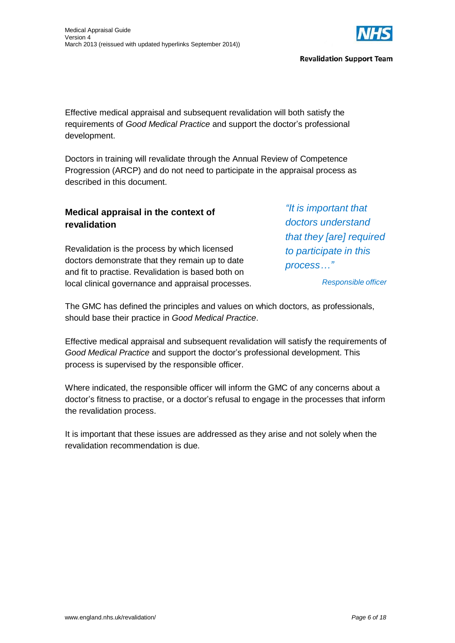

Effective medical appraisal and subsequent revalidation will both satisfy the requirements of *Good Medical Practice* and support the doctor's professional development.

Doctors in training will revalidate through the Annual Review of Competence Progression (ARCP) and do not need to participate in the appraisal process as described in this document.

#### **Medical appraisal in the context of revalidation**

Revalidation is the process by which licensed doctors demonstrate that they remain up to date and fit to practise. Revalidation is based both on local clinical governance and appraisal processes. *"It is important that doctors understand that they [are] required to participate in this process…"*

*Responsible officer*

The GMC has defined the principles and values on which doctors, as professionals, should base their practice in *Good Medical Practice*.

Effective medical appraisal and subsequent revalidation will satisfy the requirements of *Good Medical Practice* and support the doctor's professional development. This process is supervised by the responsible officer.

Where indicated, the responsible officer will inform the GMC of any concerns about a doctor's fitness to practise, or a doctor's refusal to engage in the processes that inform the revalidation process.

It is important that these issues are addressed as they arise and not solely when the revalidation recommendation is due.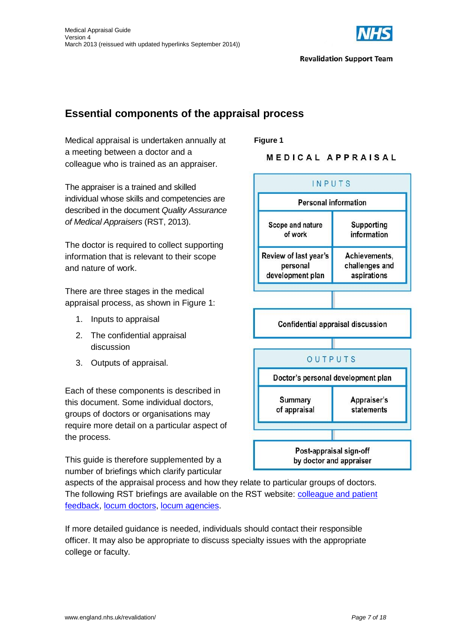

## **Essential components of the appraisal process**

Medical appraisal is undertaken annually at a meeting between a doctor and a colleague who is trained as an appraiser.

The appraiser is a trained and skilled individual whose skills and competencies are described in the document *Quality Assurance of Medical Appraisers* (RST, 2013).

The doctor is required to collect supporting information that is relevant to their scope and nature of work.

There are three stages in the medical appraisal process, as shown in Figure 1:

- 1. Inputs to appraisal
- 2. The confidential appraisal discussion
- 3. Outputs of appraisal.

Each of these components is described in this document. Some individual doctors, groups of doctors or organisations may require more detail on a particular aspect of the process.

This guide is therefore supplemented by a number of briefings which clarify particular **Figure 1** MEDICAL APPRAISAL



aspects of the appraisal process and how they relate to particular groups of doctors. The following RST briefings are available on the RST website: [colleague](http://www.england.nhs.uk/revalidation/doctors/feedback/) and patient [feedback,](http://www.revalidationsupport.nhs.uk/responsible_officer/Colleagueandpatientfeedback.php) [locum doctors,](http://www.england.nhs.uk/revalidation/doctors/locum-ad/) [locum agencies.](http://www.england.nhs.uk/revalidation/emp-bod-hr/locum/)

If more detailed guidance is needed, individuals should contact their responsible officer. It may also be appropriate to discuss specialty issues with the appropriate college or faculty.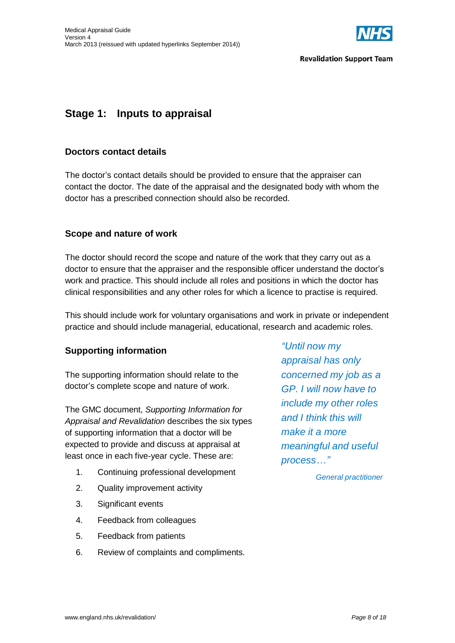

## **Stage 1: Inputs to appraisal**

#### **Doctors contact details**

The doctor's contact details should be provided to ensure that the appraiser can contact the doctor. The date of the appraisal and the designated body with whom the doctor has a prescribed connection should also be recorded.

#### **Scope and nature of work**

The doctor should record the scope and nature of the work that they carry out as a doctor to ensure that the appraiser and the responsible officer understand the doctor's work and practice. This should include all roles and positions in which the doctor has clinical responsibilities and any other roles for which a licence to practise is required.

This should include work for voluntary organisations and work in private or independent practice and should include managerial, educational, research and academic roles.

#### **Supporting information**

The supporting information should relate to the doctor's complete scope and nature of work.

The GMC document, *Supporting Information for Appraisal and Revalidation* describes the six types of supporting information that a doctor will be expected to provide and discuss at appraisal at least once in each five-year cycle. These are:

- 1. Continuing professional development
- 2. Quality improvement activity
- 3. Significant events
- 4. Feedback from colleagues
- 5. Feedback from patients
- 6. Review of complaints and compliments.

*"Until now my appraisal has only concerned my job as a GP. I will now have to include my other roles and I think this will make it a more meaningful and useful process…"*

*General practitioner*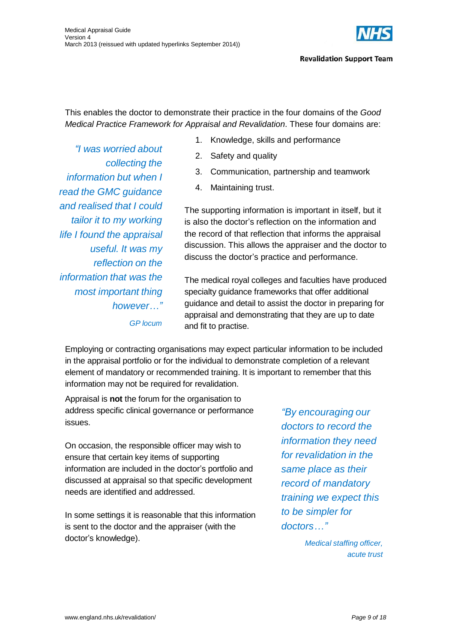

This enables the doctor to demonstrate their practice in the four domains of the *Good Medical Practice Framework for Appraisal and Revalidation*. These four domains are:

1. Knowledge, skills and performance

- 2. Safety and quality
- 3. Communication, partnership and teamwork
- 4. Maintaining trust.

The supporting information is important in itself, but it is also the doctor's reflection on the information and the record of that reflection that informs the appraisal discussion. This allows the appraiser and the doctor to discuss the doctor's practice and performance.

The medical royal colleges and faculties have produced specialty guidance frameworks that offer additional guidance and detail to assist the doctor in preparing for appraisal and demonstrating that they are up to date and fit to practise.

Employing or contracting organisations may expect particular information to be included in the appraisal portfolio or for the individual to demonstrate completion of a relevant element of mandatory or recommended training. It is important to remember that this information may not be required for revalidation.

Appraisal is **not** the forum for the organisation to address specific clinical governance or performance issues.

On occasion, the responsible officer may wish to ensure that certain key items of supporting information are included in the doctor's portfolio and discussed at appraisal so that specific development needs are identified and addressed.

In some settings it is reasonable that this information is sent to the doctor and the appraiser (with the doctor's knowledge).

*"By encouraging our doctors to record the information they need for revalidation in the same place as their record of mandatory training we expect this to be simpler for doctors…"*

> *Medical staffing officer, acute trust*

*"I was worried about collecting the information but when I read the GMC guidance and realised that I could tailor it to my working life I found the appraisal useful. It was my reflection on the information that was the most important thing however…"*

*GP locum*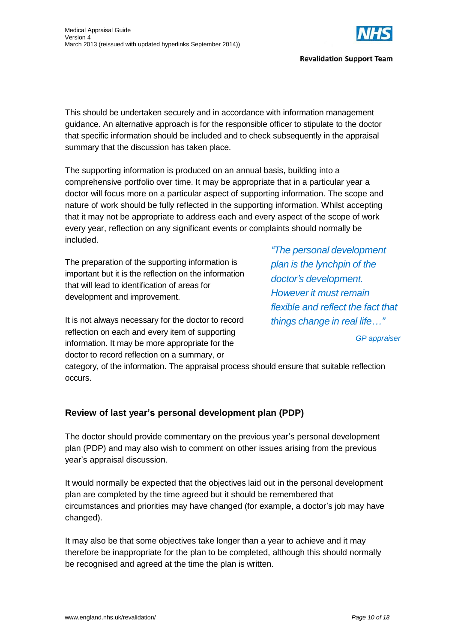

This should be undertaken securely and in accordance with information management guidance. An alternative approach is for the responsible officer to stipulate to the doctor that specific information should be included and to check subsequently in the appraisal summary that the discussion has taken place.

The supporting information is produced on an annual basis, building into a comprehensive portfolio over time. It may be appropriate that in a particular year a doctor will focus more on a particular aspect of supporting information. The scope and nature of work should be fully reflected in the supporting information. Whilst accepting that it may not be appropriate to address each and every aspect of the scope of work every year, reflection on any significant events or complaints should normally be included.

The preparation of the supporting information is important but it is the reflection on the information that will lead to identification of areas for development and improvement.

It is not always necessary for the doctor to record reflection on each and every item of supporting information. It may be more appropriate for the doctor to record reflection on a summary, or

*"The personal development plan is the lynchpin of the doctor's development. However it must remain flexible and reflect the fact that things change in real life…"*

*GP appraiser*

category, of the information. The appraisal process should ensure that suitable reflection occurs.

#### **Review of last year's personal development plan (PDP)**

The doctor should provide commentary on the previous year's personal development plan (PDP) and may also wish to comment on other issues arising from the previous year's appraisal discussion.

It would normally be expected that the objectives laid out in the personal development plan are completed by the time agreed but it should be remembered that circumstances and priorities may have changed (for example, a doctor's job may have changed).

It may also be that some objectives take longer than a year to achieve and it may therefore be inappropriate for the plan to be completed, although this should normally be recognised and agreed at the time the plan is written.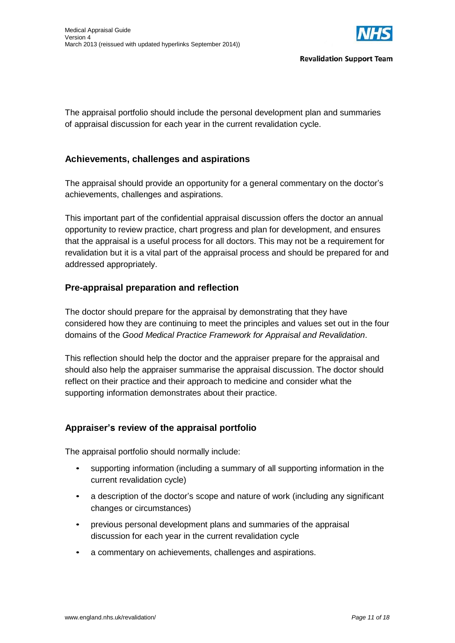

The appraisal portfolio should include the personal development plan and summaries of appraisal discussion for each year in the current revalidation cycle.

#### **Achievements, challenges and aspirations**

The appraisal should provide an opportunity for a general commentary on the doctor's achievements, challenges and aspirations.

This important part of the confidential appraisal discussion offers the doctor an annual opportunity to review practice, chart progress and plan for development, and ensures that the appraisal is a useful process for all doctors. This may not be a requirement for revalidation but it is a vital part of the appraisal process and should be prepared for and addressed appropriately.

#### **Pre-appraisal preparation and reflection**

The doctor should prepare for the appraisal by demonstrating that they have considered how they are continuing to meet the principles and values set out in the four domains of the *Good Medical Practice Framework for Appraisal and Revalidation*.

This reflection should help the doctor and the appraiser prepare for the appraisal and should also help the appraiser summarise the appraisal discussion. The doctor should reflect on their practice and their approach to medicine and consider what the supporting information demonstrates about their practice.

#### **Appraiser's review of the appraisal portfolio**

The appraisal portfolio should normally include:

- supporting information (including a summary of all supporting information in the current revalidation cycle)
- a description of the doctor's scope and nature of work (including any significant changes or circumstances)
- previous personal development plans and summaries of the appraisal discussion for each year in the current revalidation cycle
- a commentary on achievements, challenges and aspirations.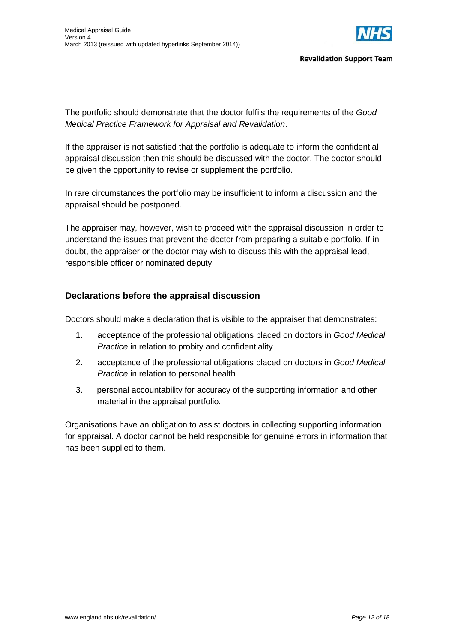

The portfolio should demonstrate that the doctor fulfils the requirements of the *Good Medical Practice Framework for Appraisal and Revalidation*.

If the appraiser is not satisfied that the portfolio is adequate to inform the confidential appraisal discussion then this should be discussed with the doctor. The doctor should be given the opportunity to revise or supplement the portfolio.

In rare circumstances the portfolio may be insufficient to inform a discussion and the appraisal should be postponed.

The appraiser may, however, wish to proceed with the appraisal discussion in order to understand the issues that prevent the doctor from preparing a suitable portfolio. If in doubt, the appraiser or the doctor may wish to discuss this with the appraisal lead, responsible officer or nominated deputy.

#### **Declarations before the appraisal discussion**

Doctors should make a declaration that is visible to the appraiser that demonstrates:

- 1. acceptance of the professional obligations placed on doctors in *Good Medical Practice* in relation to probity and confidentiality
- 2. acceptance of the professional obligations placed on doctors in *Good Medical Practice* in relation to personal health
- 3. personal accountability for accuracy of the supporting information and other material in the appraisal portfolio.

Organisations have an obligation to assist doctors in collecting supporting information for appraisal. A doctor cannot be held responsible for genuine errors in information that has been supplied to them.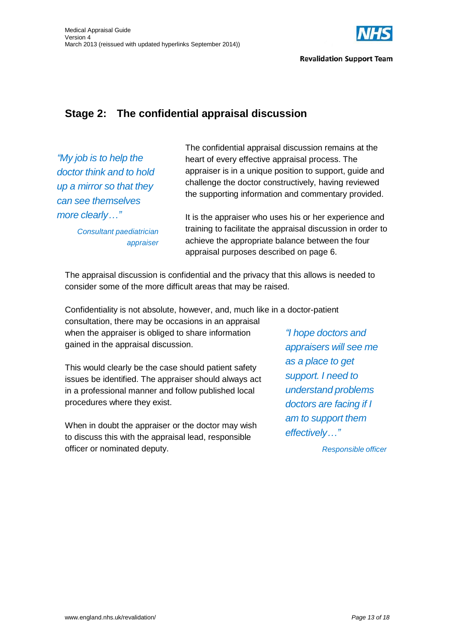

## **Stage 2: The confidential appraisal discussion**

*"My job is to help the doctor think and to hold up a mirror so that they can see themselves more clearly…"*

The confidential appraisal discussion remains at the heart of every effective appraisal process. The appraiser is in a unique position to support, guide and challenge the doctor constructively, having reviewed the supporting information and commentary provided.

*Consultant paediatrician appraiser* It is the appraiser who uses his or her experience and training to facilitate the appraisal discussion in order to achieve the appropriate balance between the four appraisal purposes described on page 6.

The appraisal discussion is confidential and the privacy that this allows is needed to consider some of the more difficult areas that may be raised.

Confidentiality is not absolute, however, and, much like in a doctor-patient consultation, there may be occasions in an appraisal

when the appraiser is obliged to share information gained in the appraisal discussion.

This would clearly be the case should patient safety issues be identified. The appraiser should always act in a professional manner and follow published local procedures where they exist.

When in doubt the appraiser or the doctor may wish to discuss this with the appraisal lead, responsible officer or nominated deputy.

*"I hope doctors and appraisers will see me as a place to get support. I need to understand problems doctors are facing if I am to support them effectively…"*

*Responsible officer*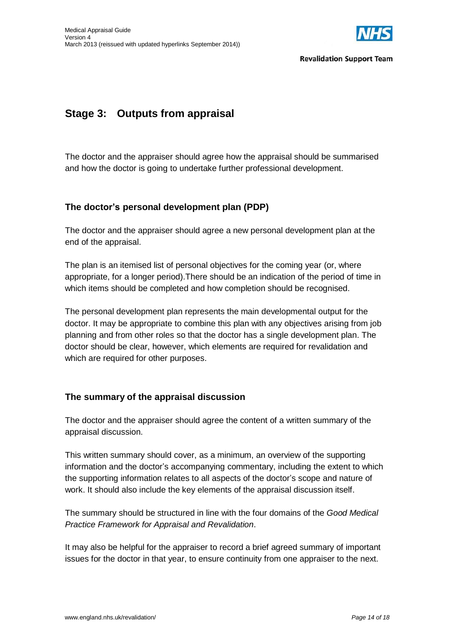

## **Stage 3: Outputs from appraisal**

The doctor and the appraiser should agree how the appraisal should be summarised and how the doctor is going to undertake further professional development.

#### **The doctor's personal development plan (PDP)**

The doctor and the appraiser should agree a new personal development plan at the end of the appraisal.

The plan is an itemised list of personal objectives for the coming year (or, where appropriate, for a longer period).There should be an indication of the period of time in which items should be completed and how completion should be recognised.

The personal development plan represents the main developmental output for the doctor. It may be appropriate to combine this plan with any objectives arising from job planning and from other roles so that the doctor has a single development plan. The doctor should be clear, however, which elements are required for revalidation and which are required for other purposes.

#### **The summary of the appraisal discussion**

The doctor and the appraiser should agree the content of a written summary of the appraisal discussion.

This written summary should cover, as a minimum, an overview of the supporting information and the doctor's accompanying commentary, including the extent to which the supporting information relates to all aspects of the doctor's scope and nature of work. It should also include the key elements of the appraisal discussion itself.

The summary should be structured in line with the four domains of the *Good Medical Practice Framework for Appraisal and Revalidation*.

It may also be helpful for the appraiser to record a brief agreed summary of important issues for the doctor in that year, to ensure continuity from one appraiser to the next.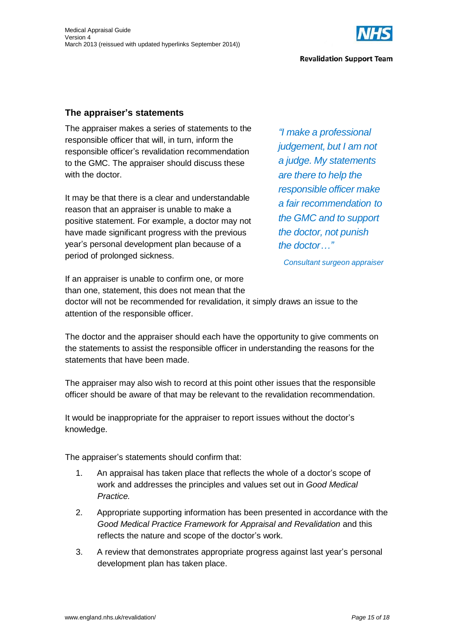

#### **The appraiser's statements**

The appraiser makes a series of statements to the responsible officer that will, in turn, inform the responsible officer's revalidation recommendation to the GMC. The appraiser should discuss these with the doctor.

It may be that there is a clear and understandable reason that an appraiser is unable to make a positive statement. For example, a doctor may not have made significant progress with the previous year's personal development plan because of a period of prolonged sickness.

*"I make a professional judgement, but I am not a judge. My statements are there to help the responsible officer make a fair recommendation to the GMC and to support the doctor, not punish the doctor…"*

*Consultant surgeon appraiser*

If an appraiser is unable to confirm one, or more than one, statement, this does not mean that the

doctor will not be recommended for revalidation, it simply draws an issue to the attention of the responsible officer.

The doctor and the appraiser should each have the opportunity to give comments on the statements to assist the responsible officer in understanding the reasons for the statements that have been made.

The appraiser may also wish to record at this point other issues that the responsible officer should be aware of that may be relevant to the revalidation recommendation.

It would be inappropriate for the appraiser to report issues without the doctor's knowledge.

The appraiser's statements should confirm that:

- 1. An appraisal has taken place that reflects the whole of a doctor's scope of work and addresses the principles and values set out in *Good Medical Practice.*
- 2. Appropriate supporting information has been presented in accordance with the *Good Medical Practice Framework for Appraisal and Revalidation* and this reflects the nature and scope of the doctor's work.
- 3. A review that demonstrates appropriate progress against last year's personal development plan has taken place.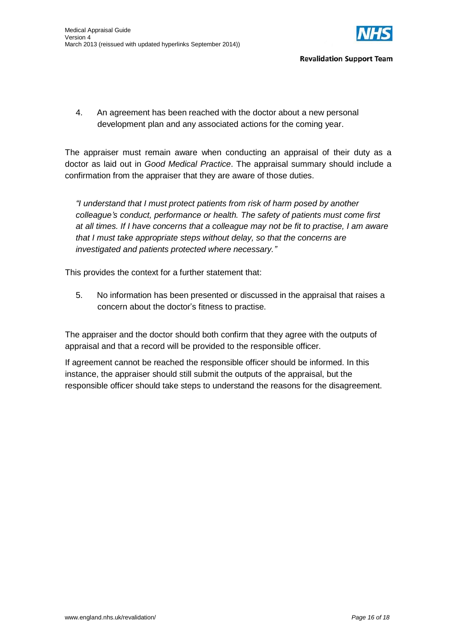

4. An agreement has been reached with the doctor about a new personal development plan and any associated actions for the coming year.

The appraiser must remain aware when conducting an appraisal of their duty as a doctor as laid out in *Good Medical Practice*. The appraisal summary should include a confirmation from the appraiser that they are aware of those duties.

*"I understand that I must protect patients from risk of harm posed by another colleague's conduct, performance or health. The safety of patients must come first at all times. If I have concerns that a colleague may not be fit to practise, I am aware that I must take appropriate steps without delay, so that the concerns are investigated and patients protected where necessary."*

This provides the context for a further statement that:

5. No information has been presented or discussed in the appraisal that raises a concern about the doctor's fitness to practise.

The appraiser and the doctor should both confirm that they agree with the outputs of appraisal and that a record will be provided to the responsible officer.

If agreement cannot be reached the responsible officer should be informed. In this instance, the appraiser should still submit the outputs of the appraisal, but the responsible officer should take steps to understand the reasons for the disagreement.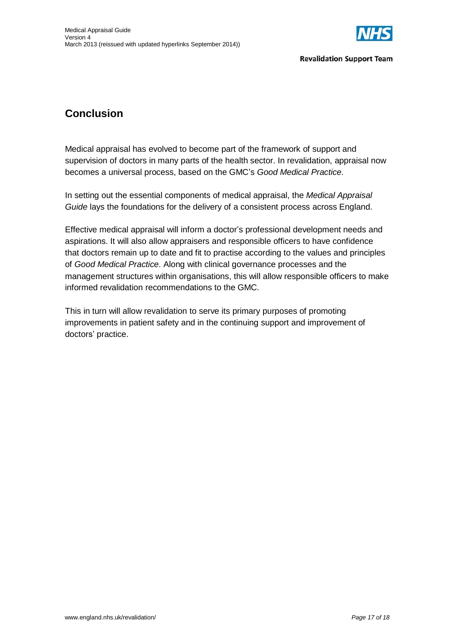

## **Conclusion**

Medical appraisal has evolved to become part of the framework of support and supervision of doctors in many parts of the health sector. In revalidation, appraisal now becomes a universal process, based on the GMC's *Good Medical Practice*.

In setting out the essential components of medical appraisal, the *Medical Appraisal Guide* lays the foundations for the delivery of a consistent process across England.

Effective medical appraisal will inform a doctor's professional development needs and aspirations. It will also allow appraisers and responsible officers to have confidence that doctors remain up to date and fit to practise according to the values and principles of *Good Medical Practice*. Along with clinical governance processes and the management structures within organisations, this will allow responsible officers to make informed revalidation recommendations to the GMC.

This in turn will allow revalidation to serve its primary purposes of promoting improvements in patient safety and in the continuing support and improvement of doctors' practice.